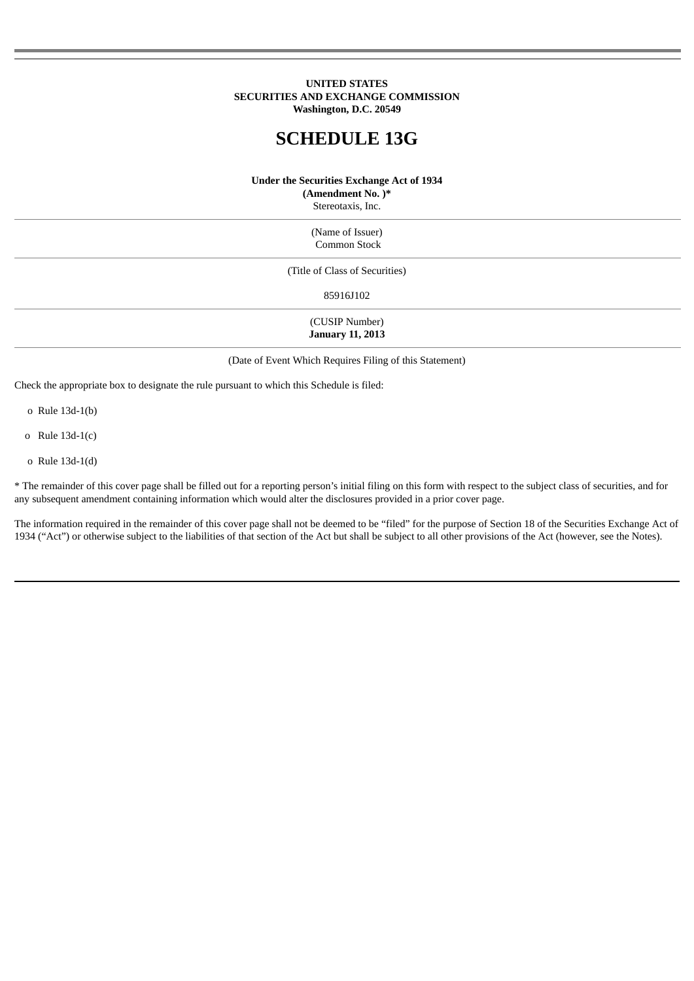## **UNITED STATES SECURITIES AND EXCHANGE COMMISSION Washington, D.C. 20549**

# **SCHEDULE 13G**

#### **Under the Securities Exchange Act of 1934**

**(Amendment No. )\***

Stereotaxis, Inc.

(Name of Issuer) Common Stock

(Title of Class of Securities)

85916J102

(CUSIP Number) **January 11, 2013**

(Date of Event Which Requires Filing of this Statement)

Check the appropriate box to designate the rule pursuant to which this Schedule is filed:

o Rule 13d-1(b)

o Rule 13d-1(c)

o Rule 13d-1(d)

\* The remainder of this cover page shall be filled out for a reporting person's initial filing on this form with respect to the subject class of securities, and for any subsequent amendment containing information which would alter the disclosures provided in a prior cover page.

The information required in the remainder of this cover page shall not be deemed to be "filed" for the purpose of Section 18 of the Securities Exchange Act of 1934 ("Act") or otherwise subject to the liabilities of that section of the Act but shall be subject to all other provisions of the Act (however, see the Notes).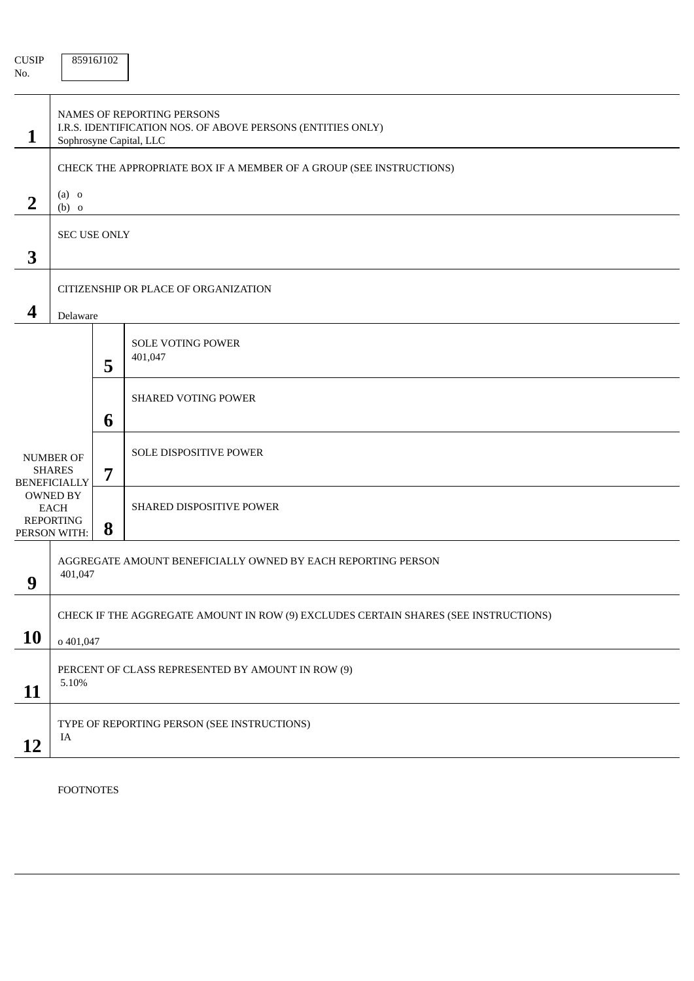| <b>CUSIP</b><br>No.                                      |                                                                                                                             | 85916J102 |                                                                     |  |  |
|----------------------------------------------------------|-----------------------------------------------------------------------------------------------------------------------------|-----------|---------------------------------------------------------------------|--|--|
| $\mathbf{1}$                                             | <b>NAMES OF REPORTING PERSONS</b><br>I.R.S. IDENTIFICATION NOS. OF ABOVE PERSONS (ENTITIES ONLY)<br>Sophrosyne Capital, LLC |           |                                                                     |  |  |
|                                                          |                                                                                                                             |           | CHECK THE APPROPRIATE BOX IF A MEMBER OF A GROUP (SEE INSTRUCTIONS) |  |  |
| $\overline{2}$                                           | $(a)$ o<br>$(b)$ o                                                                                                          |           |                                                                     |  |  |
| 3                                                        | SEC USE ONLY                                                                                                                |           |                                                                     |  |  |
|                                                          | CITIZENSHIP OR PLACE OF ORGANIZATION                                                                                        |           |                                                                     |  |  |
| 4                                                        | Delaware                                                                                                                    |           |                                                                     |  |  |
|                                                          |                                                                                                                             | 5         | <b>SOLE VOTING POWER</b><br>401,047                                 |  |  |
|                                                          |                                                                                                                             | 6         | <b>SHARED VOTING POWER</b>                                          |  |  |
| <b>NUMBER OF</b><br><b>SHARES</b><br><b>BENEFICIALLY</b> |                                                                                                                             | 7         | SOLE DISPOSITIVE POWER                                              |  |  |
|                                                          | OWNED BY<br><b>EACH</b><br><b>REPORTING</b><br>PERSON WITH:                                                                 | 8         | SHARED DISPOSITIVE POWER                                            |  |  |
| 9                                                        | AGGREGATE AMOUNT BENEFICIALLY OWNED BY EACH REPORTING PERSON<br>401,047                                                     |           |                                                                     |  |  |
|                                                          | CHECK IF THE AGGREGATE AMOUNT IN ROW (9) EXCLUDES CERTAIN SHARES (SEE INSTRUCTIONS)                                         |           |                                                                     |  |  |
| <b>10</b>                                                | o 401,047                                                                                                                   |           |                                                                     |  |  |
| 11                                                       | PERCENT OF CLASS REPRESENTED BY AMOUNT IN ROW (9)<br>5.10%                                                                  |           |                                                                     |  |  |
| 12                                                       | TYPE OF REPORTING PERSON (SEE INSTRUCTIONS)<br>IA                                                                           |           |                                                                     |  |  |

FOOTNOTES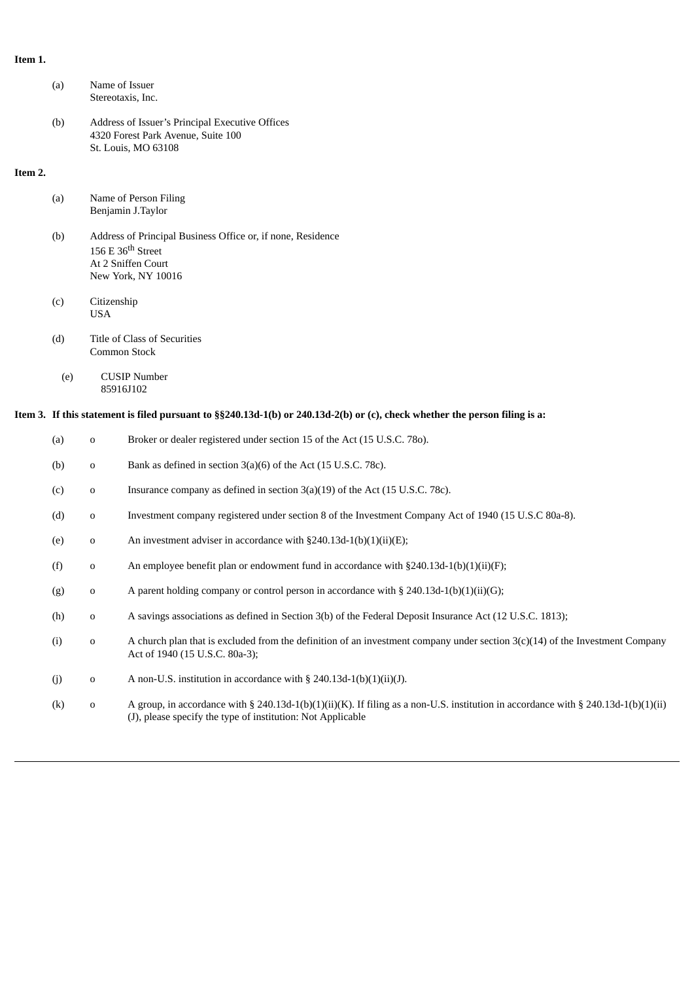# **Item 1.**

|         | (a) | Name of Issuer<br>Stereotaxis, Inc.                                                                                            |                                                                                                                                                                  |  |  |
|---------|-----|--------------------------------------------------------------------------------------------------------------------------------|------------------------------------------------------------------------------------------------------------------------------------------------------------------|--|--|
|         | (b) | Address of Issuer's Principal Executive Offices<br>4320 Forest Park Avenue, Suite 100<br>St. Louis, MO 63108                   |                                                                                                                                                                  |  |  |
| Item 2. |     |                                                                                                                                |                                                                                                                                                                  |  |  |
|         | (a) | Name of Person Filing<br>Benjamin J.Taylor                                                                                     |                                                                                                                                                                  |  |  |
|         | (b) | Address of Principal Business Office or, if none, Residence<br>156 E $36th$ Street<br>At 2 Sniffen Court<br>New York, NY 10016 |                                                                                                                                                                  |  |  |
|         | (c) | Citizenship<br><b>USA</b>                                                                                                      |                                                                                                                                                                  |  |  |
|         | (d) | Title of Class of Securities<br>Common Stock                                                                                   |                                                                                                                                                                  |  |  |
|         | (e) |                                                                                                                                | <b>CUSIP Number</b><br>85916J102                                                                                                                                 |  |  |
|         |     | Item 3. If this statement is filed pursuant to §§240.13d-1(b) or 240.13d-2(b) or (c), check whether the person filing is a:    |                                                                                                                                                                  |  |  |
|         | (a) | $\mathbf 0$                                                                                                                    | Broker or dealer registered under section 15 of the Act (15 U.S.C. 780).                                                                                         |  |  |
|         | (b) | $\mathbf 0$                                                                                                                    | Bank as defined in section 3(a)(6) of the Act (15 U.S.C. 78c).                                                                                                   |  |  |
|         | (c) | 0                                                                                                                              | Insurance company as defined in section 3(a)(19) of the Act (15 U.S.C. 78c).                                                                                     |  |  |
|         | (d) | $\mathbf 0$                                                                                                                    | Investment company registered under section 8 of the Investment Company Act of 1940 (15 U.S.C 80a-8).                                                            |  |  |
|         | (e) | $\mathbf 0$                                                                                                                    | An investment adviser in accordance with $\S 240.13d-1(b)(1)(ii)(E);$                                                                                            |  |  |
|         | (f) | $\mathbf 0$                                                                                                                    | An employee benefit plan or endowment fund in accordance with $\S 240.13d-1(b)(1)(ii)(F);$                                                                       |  |  |
|         | (g) | 0                                                                                                                              | A parent holding company or control person in accordance with § 240.13d-1(b)(1)(ii)(G);                                                                          |  |  |
|         | (h) | 0                                                                                                                              | A savings associations as defined in Section 3(b) of the Federal Deposit Insurance Act (12 U.S.C. 1813);                                                         |  |  |
|         | (i) | $\mathbf 0$                                                                                                                    | A church plan that is excluded from the definition of an investment company under section $3(c)(14)$ of the Investment Company<br>Act of 1940 (15 U.S.C. 80a-3); |  |  |
|         | (j) | 0                                                                                                                              | A non-U.S. institution in accordance with $\S$ 240.13d-1(b)(1)(ii)(J).                                                                                           |  |  |

(k) o A group, in accordance with § 240.13d-1(b)(1)(ii)(K). If filing as a non-U.S. institution in accordance with § 240.13d-1(b)(1)(ii) (J), please specify the type of institution: Not Applicable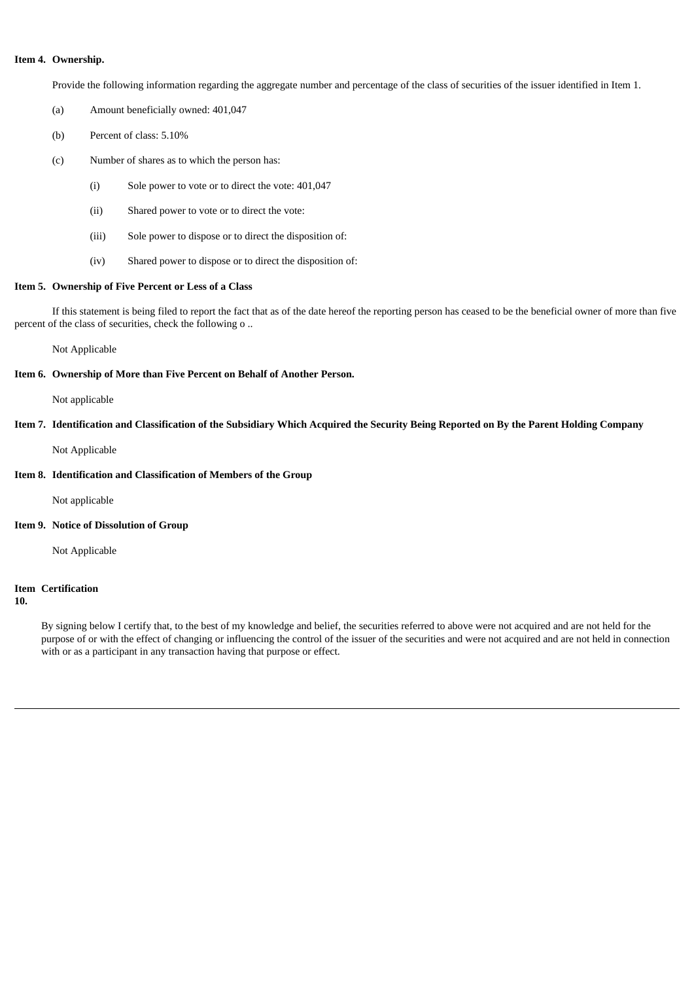## **Item 4. Ownership.**

Provide the following information regarding the aggregate number and percentage of the class of securities of the issuer identified in Item 1.

- (a) Amount beneficially owned: 401,047
- (b) Percent of class: 5.10%
- (c) Number of shares as to which the person has:
	- (i) Sole power to vote or to direct the vote: 401,047
	- (ii) Shared power to vote or to direct the vote:
	- (iii) Sole power to dispose or to direct the disposition of:
	- (iv) Shared power to dispose or to direct the disposition of:

### **Item 5. Ownership of Five Percent or Less of a Class**

If this statement is being filed to report the fact that as of the date hereof the reporting person has ceased to be the beneficial owner of more than five percent of the class of securities, check the following o ..

Not Applicable

#### **Item 6. Ownership of More than Five Percent on Behalf of Another Person.**

Not applicable

## Item 7. Identification and Classification of the Subsidiary Which Acquired the Security Being Reported on By the Parent Holding Company

Not Applicable

## **Item 8. Identification and Classification of Members of the Group**

Not applicable

#### **Item 9. Notice of Dissolution of Group**

Not Applicable

#### **Item Certification**

**10.**

By signing below I certify that, to the best of my knowledge and belief, the securities referred to above were not acquired and are not held for the purpose of or with the effect of changing or influencing the control of the issuer of the securities and were not acquired and are not held in connection with or as a participant in any transaction having that purpose or effect.